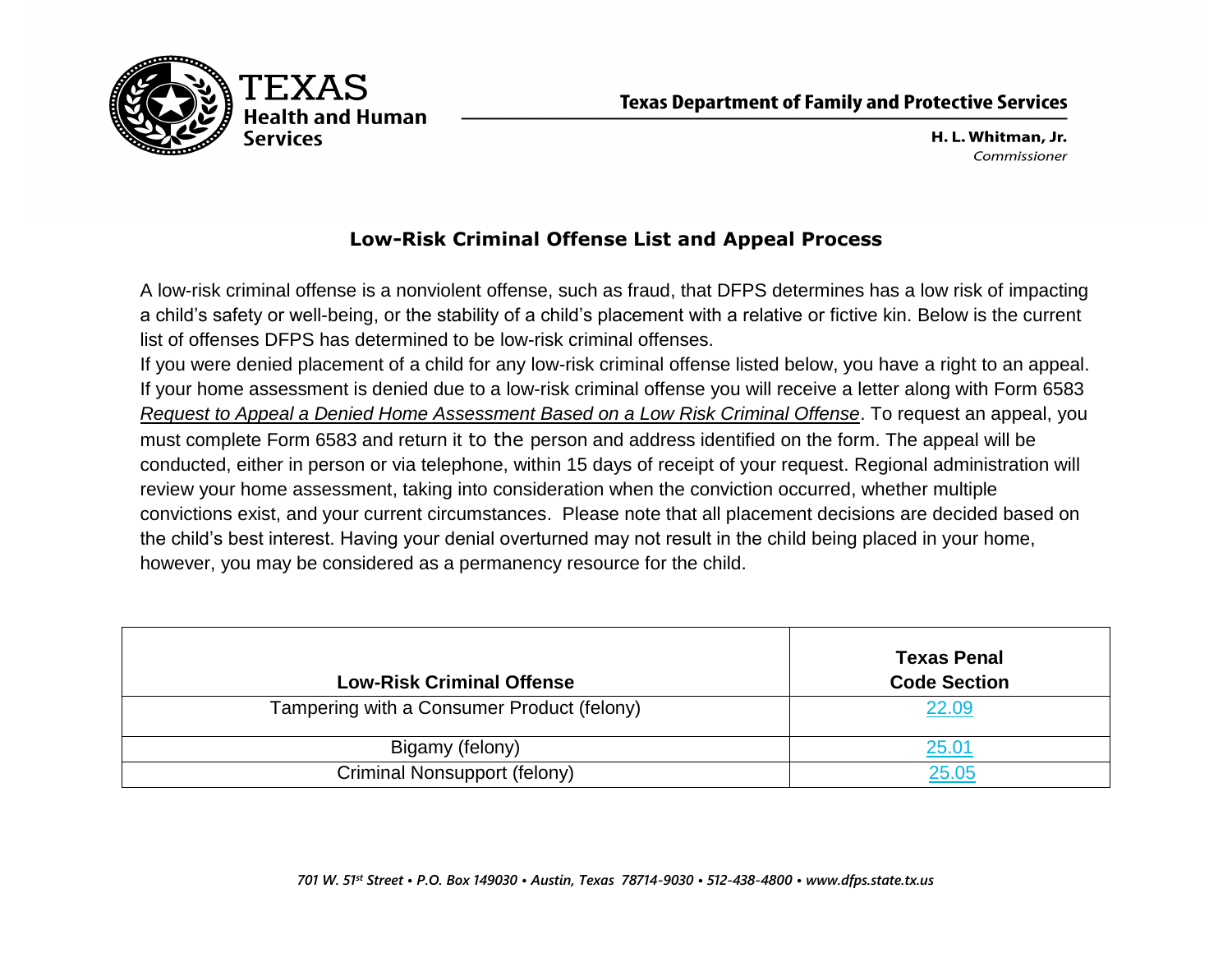

H. L. Whitman, Jr. Commissioner

## **Low-Risk Criminal Offense List and Appeal Process**

<span id="page-0-0"></span>A low-risk criminal offense is a nonviolent offense, such as fraud, that DFPS determines has a low risk of impacting a child's safety or well-being, or the stability of a child's placement with a relative or fictive kin. Below is the current list of offenses DFPS has determined to be low-risk criminal offenses.

If you were denied placement of a child for any low-risk criminal offense listed below, you have a right to an appeal. If your home assessment is denied due to a low-risk criminal offense you will receive a letter along with Form 6583 *Request to Appeal a Denied Home Assessment Based on a Low Risk Criminal Offense*. To request an appeal, you must complete Form 6583 and return it to the person and address identified on the form. The appeal will be conducted, either in person or via telephone, within 15 days of receipt of your request. Regional administration will review your home assessment, taking into consideration when the conviction occurred, whether multiple convictions exist, and your current circumstances. Please note that all placement decisions are decided based on the child's best interest. Having your denial overturned may not result in the child being placed in your home, however, you may be considered as a permanency resource for the child.

| <b>Low-Risk Criminal Offense</b>           | <b>Texas Penal</b><br><b>Code Section</b> |
|--------------------------------------------|-------------------------------------------|
| Tampering with a Consumer Product (felony) | 22.09                                     |
| Bigamy (felony)                            | 25.01                                     |
| Criminal Nonsupport (felony)               | 25.05                                     |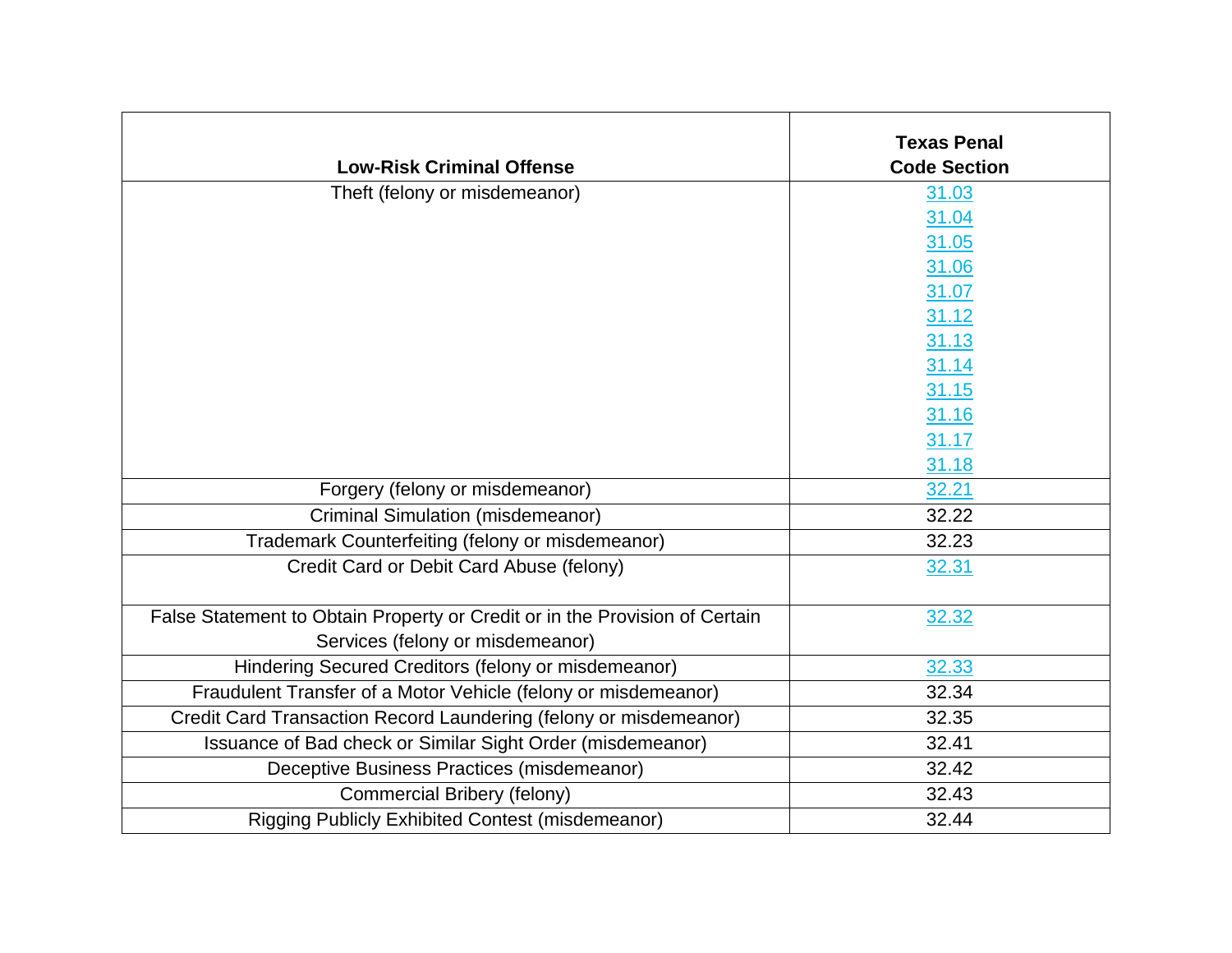| <b>Low-Risk Criminal Offense</b>                                            | <b>Texas Penal</b><br><b>Code Section</b> |
|-----------------------------------------------------------------------------|-------------------------------------------|
| Theft (felony or misdemeanor)                                               | 31.03                                     |
|                                                                             | 31.04                                     |
|                                                                             | 31.05                                     |
|                                                                             | 31.06                                     |
|                                                                             | 31.07                                     |
|                                                                             | 31.12                                     |
|                                                                             | 31.13                                     |
|                                                                             | 31.14                                     |
|                                                                             | 31.15                                     |
|                                                                             | 31.16                                     |
|                                                                             | 31.17                                     |
|                                                                             | 31.18                                     |
| Forgery (felony or misdemeanor)                                             | 32.21                                     |
| <b>Criminal Simulation (misdemeanor)</b>                                    | 32.22                                     |
| Trademark Counterfeiting (felony or misdemeanor)                            | 32.23                                     |
| Credit Card or Debit Card Abuse (felony)                                    | 32.31                                     |
| False Statement to Obtain Property or Credit or in the Provision of Certain | 32.32                                     |
| Services (felony or misdemeanor)                                            |                                           |
| Hindering Secured Creditors (felony or misdemeanor)                         | 32.33                                     |
| Fraudulent Transfer of a Motor Vehicle (felony or misdemeanor)              | 32.34                                     |
| Credit Card Transaction Record Laundering (felony or misdemeanor)           | 32.35                                     |
| Issuance of Bad check or Similar Sight Order (misdemeanor)                  | 32.41                                     |
| Deceptive Business Practices (misdemeanor)                                  | 32.42                                     |
| Commercial Bribery (felony)                                                 | 32.43                                     |
| Rigging Publicly Exhibited Contest (misdemeanor)                            | 32.44                                     |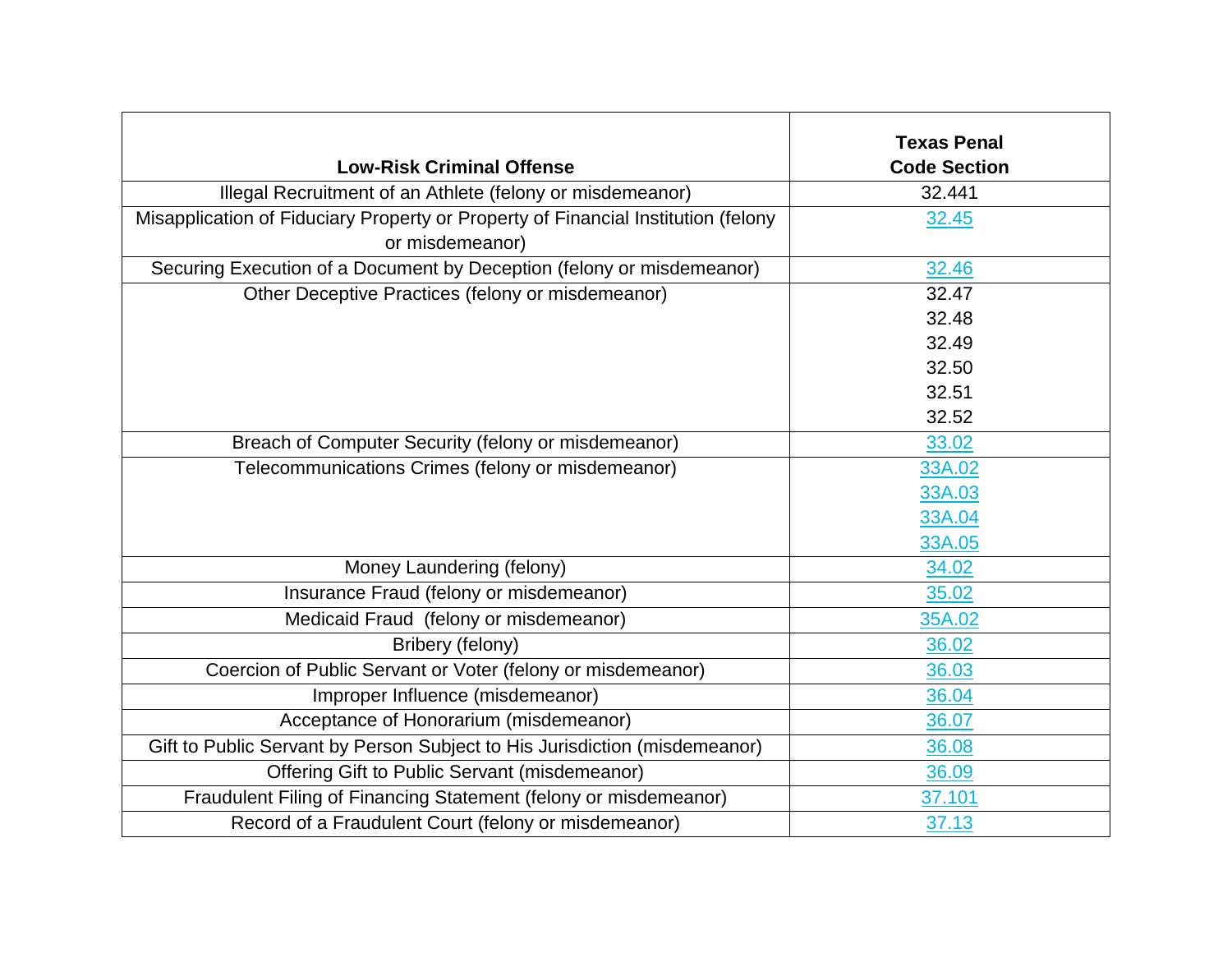| <b>Low-Risk Criminal Offense</b>                                                  | <b>Texas Penal</b><br><b>Code Section</b> |
|-----------------------------------------------------------------------------------|-------------------------------------------|
| Illegal Recruitment of an Athlete (felony or misdemeanor)                         | 32.441                                    |
| Misapplication of Fiduciary Property or Property of Financial Institution (felony | 32.45                                     |
| or misdemeanor)                                                                   |                                           |
| Securing Execution of a Document by Deception (felony or misdemeanor)             | 32.46                                     |
| Other Deceptive Practices (felony or misdemeanor)                                 | 32.47                                     |
|                                                                                   | 32.48                                     |
|                                                                                   | 32.49                                     |
|                                                                                   | 32.50                                     |
|                                                                                   | 32.51                                     |
|                                                                                   | 32.52                                     |
| Breach of Computer Security (felony or misdemeanor)                               | 33.02                                     |
| Telecommunications Crimes (felony or misdemeanor)                                 | 33A.02                                    |
|                                                                                   | 33A.03                                    |
|                                                                                   | 33A.04                                    |
|                                                                                   | 33A.05                                    |
| Money Laundering (felony)                                                         | 34.02                                     |
| Insurance Fraud (felony or misdemeanor)                                           | 35.02                                     |
| Medicaid Fraud (felony or misdemeanor)                                            | 35A.02                                    |
| Bribery (felony)                                                                  | 36.02                                     |
| Coercion of Public Servant or Voter (felony or misdemeanor)                       | 36.03                                     |
| Improper Influence (misdemeanor)                                                  | 36.04                                     |
| Acceptance of Honorarium (misdemeanor)                                            | 36.07                                     |
| Gift to Public Servant by Person Subject to His Jurisdiction (misdemeanor)        | 36.08                                     |
| Offering Gift to Public Servant (misdemeanor)                                     | 36.09                                     |
| Fraudulent Filing of Financing Statement (felony or misdemeanor)                  | 37.101                                    |
| Record of a Fraudulent Court (felony or misdemeanor)                              | 37.13                                     |